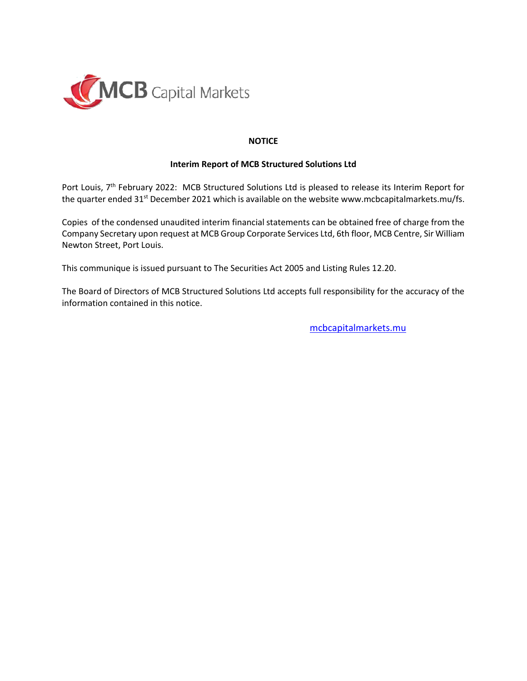

## **NOTICE**

## **Interim Report of MCB Structured Solutions Ltd**

Port Louis, 7<sup>th</sup> February 2022: MCB Structured Solutions Ltd is pleased to release its Interim Report for the quarter ended 31<sup>st</sup> December 2021 which is available on the website [www.mcbcapitalmarkets.mu/fs.](http://www.mcbcapitalmarkets.mu/fs)

Copies of the condensed unaudited interim financial statements can be obtained free of charge from the Company Secretary upon request at MCB Group Corporate Services Ltd, 6th floor, MCB Centre, Sir William Newton Street, Port Louis.

This communique is issued pursuant to The Securities Act 2005 and Listing Rules 12.20.

The Board of Directors of MCB Structured Solutions Ltd accepts full responsibility for the accuracy of the information contained in this notice.

[mcbcapitalmarkets.mu](http://www.mcbcapitalmarkets.mu/)